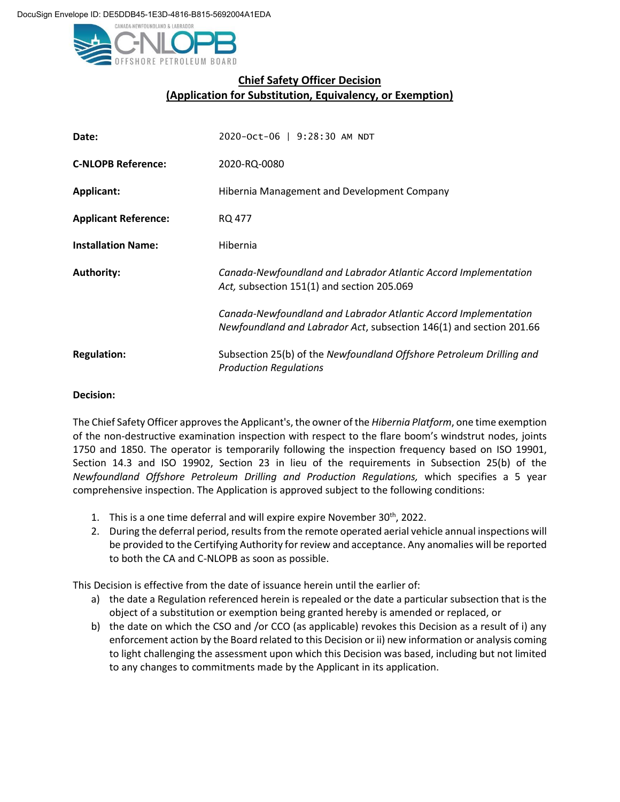

## **Chief Safety Officer Decision (Application for Substitution, Equivalency, or Exemption)**

| Date:                       | 2020-Oct-06   9:28:30 AM NDT                                                                                                           |
|-----------------------------|----------------------------------------------------------------------------------------------------------------------------------------|
| <b>C-NLOPB Reference:</b>   | 2020-RQ-0080                                                                                                                           |
| <b>Applicant:</b>           | Hibernia Management and Development Company                                                                                            |
| <b>Applicant Reference:</b> | RQ 477                                                                                                                                 |
| <b>Installation Name:</b>   | Hibernia                                                                                                                               |
| <b>Authority:</b>           | Canada-Newfoundland and Labrador Atlantic Accord Implementation<br>Act, subsection 151(1) and section 205.069                          |
|                             | Canada-Newfoundland and Labrador Atlantic Accord Implementation<br>Newfoundland and Labrador Act, subsection 146(1) and section 201.66 |
| <b>Regulation:</b>          | Subsection 25(b) of the Newfoundland Offshore Petroleum Drilling and<br><b>Production Regulations</b>                                  |

## **Decision:**

The Chief Safety Officer approvesthe Applicant's, the owner of the *Hibernia Platform*, one time exemption of the non-destructive examination inspection with respect to the flare boom's windstrut nodes, joints 1750 and 1850. The operator is temporarily following the inspection frequency based on ISO 19901, Section 14.3 and ISO 19902, Section 23 in lieu of the requirements in Subsection 25(b) of the *Newfoundland Offshore Petroleum Drilling and Production Regulations,* which specifies a 5 year comprehensive inspection. The Application is approved subject to the following conditions:

- 1. This is a one time deferral and will expire expire November  $30<sup>th</sup>$ , 2022.
- 2. During the deferral period, results from the remote operated aerial vehicle annual inspections will be provided to the Certifying Authority for review and acceptance. Any anomalies will be reported to both the CA and C-NLOPB as soon as possible.

This Decision is effective from the date of issuance herein until the earlier of:

- a) the date a Regulation referenced herein is repealed or the date a particular subsection that is the object of a substitution or exemption being granted hereby is amended or replaced, or
- b) the date on which the CSO and /or CCO (as applicable) revokes this Decision as a result of i) any enforcement action by the Board related to this Decision or ii) new information or analysis coming to light challenging the assessment upon which this Decision was based, including but not limited to any changes to commitments made by the Applicant in its application.